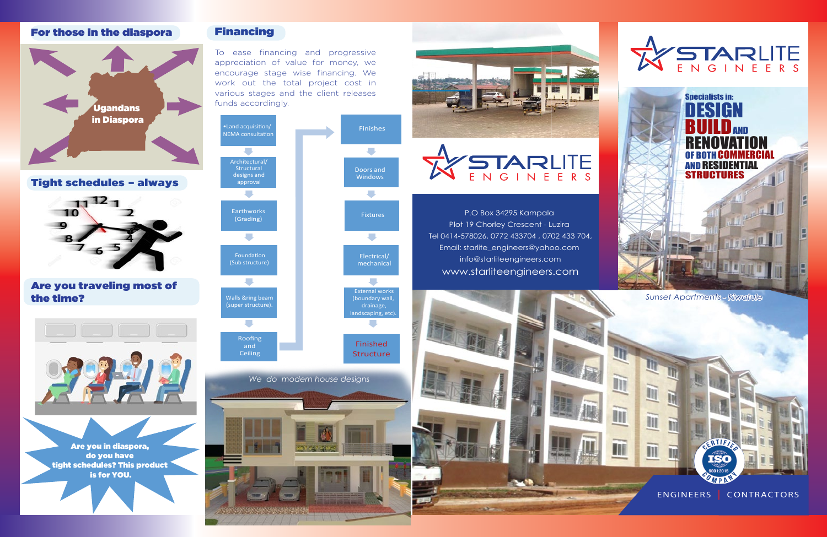

# For those in the diaspora

Tight schedules – always



Are you traveling most of the time?

### Financing

To ease financing and progressive appreciation of value for money, we encourage stage wise financing. We work out the total project cost in various stages and the client releases funds accordingly.

> P.O Box 34295 Kampala Plot 19 Chorley Crescent - Luzira Tel 0414-578026, 0772 433704 , 0702 433 704, Email: starlite\_engineers@yahoo.com info@starliteengineers.com www.starliteengineers.com











tight schedules? This product is for YOU.



ERTIF

ENGINEERS | CONTRACTORS